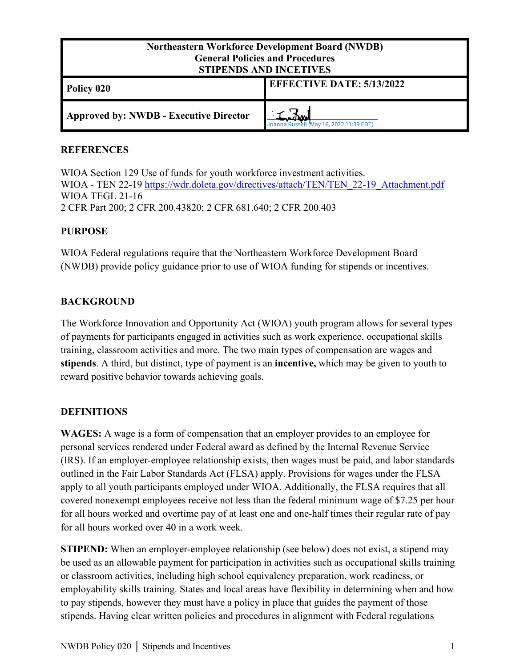| <b>Northeastern Workforce Development Board (NWDB)</b><br><b>General Policies and Procedures</b><br><b>STIPENDS AND INCETIVES</b> |                                  |
|-----------------------------------------------------------------------------------------------------------------------------------|----------------------------------|
| Policy 020                                                                                                                        | <b>EFFECTIVE DATE: 5/13/2022</b> |
| Approved by: NWDB - Executive Director                                                                                            | May 16, 2022 11:39 EDT)          |

#### **REFERENCES**

WIOA Section 129 Use of funds for youth workforce investment activities. WIOA - TEN 22-19 [https://wdr.doleta.gov/directives/attach/TEN/TEN\\_22](https://wdr.doleta.gov/directives/attach/TEN/TEN_22-19_Attachment.pdf)-19\_Attachment.pdf WIOA TEGL 21-16 2 CFR Part 200; 2 CFR 200.43820; 2 CFR 681.640; 2 CFR 200.403

#### **PURPOSE**

WIOA Federal regulations require that the Northeastern Workforce Development Board (NWDB) provide policy guidance prior to use of WIOA funding for stipends or incentives.

## **BACKGROUND**

The Workforce Innovation and Opportunity Act (WIOA) youth program allows for several types of payments for participants engaged in activities such as work experience, occupational skills training, classroom activities and more. The two main types of compensation are wages and **stipends**. A third, but distinct, type of payment is an **incentive,** which may be given to youth to reward positive behavior towards achieving goals.

## **DEFINITIONS**

**WAGES:** A wage is a form of compensation that an employer provides to an employee for personal services rendered under Federal award as defined by the Internal Revenue Service (IRS). If an employer-employee relationship exists, then wages must be paid, and labor standards outlined in the Fair Labor Standards Act (FLSA) apply. Provisions for wages under the FLSA apply to all youth participants employed under WIOA. Additionally, the FLSA requires that all covered nonexempt employees receive not less than the federal minimum wage of \$7.25 per hour for all hours worked and overtime pay of at least one and one-half times their regular rate of pay for all hours worked over 40 in a work week.

**STIPEND:** When an employer-employee relationship (see below) does not exist, a stipend may be used as an allowable payment for participation in activities such as occupational skills training or classroom activities, including high school equivalency preparation, work readiness, or employability skills training. States and local areas have flexibility in determining when and how to pay stipends, however they must have a policy in place that guides the payment of those stipends. Having clear written policies and procedures in alignment with Federal regulations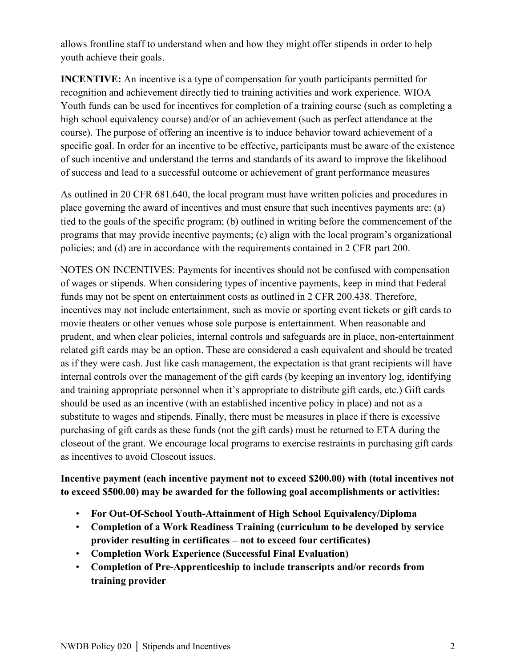allows frontline staff to understand when and how they might offer stipends in order to help youth achieve their goals.

**INCENTIVE:** An incentive is a type of compensation for youth participants permitted for recognition and achievement directly tied to training activities and work experience. WIOA Youth funds can be used for incentives for completion of a training course (such as completing a high school equivalency course) and/or of an achievement (such as perfect attendance at the course). The purpose of offering an incentive is to induce behavior toward achievement of a specific goal. In order for an incentive to be effective, participants must be aware of the existence of such incentive and understand the terms and standards of its award to improve the likelihood of success and lead to a successful outcome or achievement of grant performance measures

As outlined in 20 CFR 681.640, the local program must have written policies and procedures in place governing the award of incentives and must ensure that such incentives payments are: (a) tied to the goals of the specific program; (b) outlined in writing before the commencement of the programs that may provide incentive payments; (c) align with the local program's organizational policies; and (d) are in accordance with the requirements contained in 2 CFR part 200.

NOTES ON INCENTIVES: Payments for incentives should not be confused with compensation of wages or stipends. When considering types of incentive payments, keep in mind that Federal funds may not be spent on entertainment costs as outlined in 2 CFR 200.438. Therefore, incentives may not include entertainment, such as movie or sporting event tickets or gift cards to movie theaters or other venues whose sole purpose is entertainment. When reasonable and prudent, and when clear policies, internal controls and safeguards are in place, non-entertainment related gift cards may be an option. These are considered a cash equivalent and should be treated as if they were cash. Just like cash management, the expectation is that grant recipients will have internal controls over the management of the gift cards (by keeping an inventory log, identifying and training appropriate personnel when it's appropriate to distribute gift cards, etc.) Gift cards should be used as an incentive (with an established incentive policy in place) and not as a substitute to wages and stipends. Finally, there must be measures in place if there is excessive purchasing of gift cards as these funds (not the gift cards) must be returned to ETA during the closeout of the grant. We encourage local programs to exercise restraints in purchasing gift cards as incentives to avoid Closeout issues.

# **Incentive payment (each incentive payment not to exceed \$200.00) with (total incentives not to exceed \$500.00) may be awarded for the following goal accomplishments or activities:**

- **For Out-Of-School Youth-Attainment of High School Equivalency/Diploma**
- **Completion of a Work Readiness Training (curriculum to be developed by service provider resulting in certificates – not to exceed four certificates)**
- **Completion Work Experience (Successful Final Evaluation)**
- **Completion of Pre-Apprenticeship to include transcripts and/or records from training provider**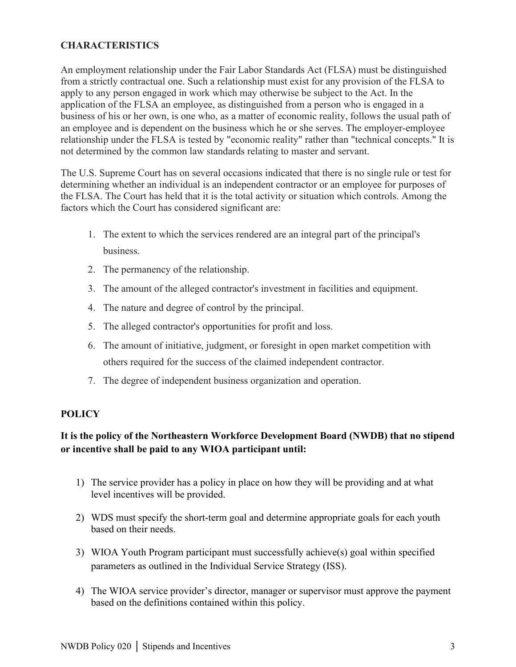# **CHARACTERISTICS**

An employment relationship under the Fair Labor Standards Act (FLSA) must be distinguished from a strictly contractual one. Such a relationship must exist for any provision of the FLSA to apply to any person engaged in work which may otherwise be subject to the Act. In the application of the FLSA an employee, as distinguished from a person who is engaged in a business of his or her own, is one who, as a matter of economic reality, follows the usual path of an employee and is dependent on the business which he or she serves. The employer-employee relationship under the FLSA is tested by "economic reality" rather than "technical concepts." It is not determined by the common law standards relating to master and servant.

The U.S. Supreme Court has on several occasions indicated that there is no single rule or test for determining whether an individual is an independent contractor or an employee for purposes of the FLSA. The Court has held that it is the total activity or situation which controls. Among the factors which the Court has considered significant are:

- 1. The extent to which the services rendered are an integral part of the principal's business.
- 2. The permanency of the relationship.
- 3. The amount of the alleged contractor's investment in facilities and equipment.
- 4. The nature and degree of control by the principal.
- 5. The alleged contractor's opportunities for profit and loss.
- 6. The amount of initiative, judgment, or foresight in open market competition with others required for the success of the claimed independent contractor.
- 7. The degree of independent business organization and operation.

## **POLICY**

# **It is the policy of the Northeastern Workforce Development Board (NWDB) that no stipend or incentive shall be paid to any WIOA participant until:**

- 1) The service provider has a policy in place on how they will be providing and at what level incentives will be provided.
- 2) WDS must specify the short-term goal and determine appropriate goals for each youth based on their needs.
- 3) WIOA Youth Program participant must successfully achieve(s) goal within specified parameters as outlined in the Individual Service Strategy (ISS).
- 4) The WIOA service provider's director, manager or supervisor must approve the payment based on the definitions contained within this policy.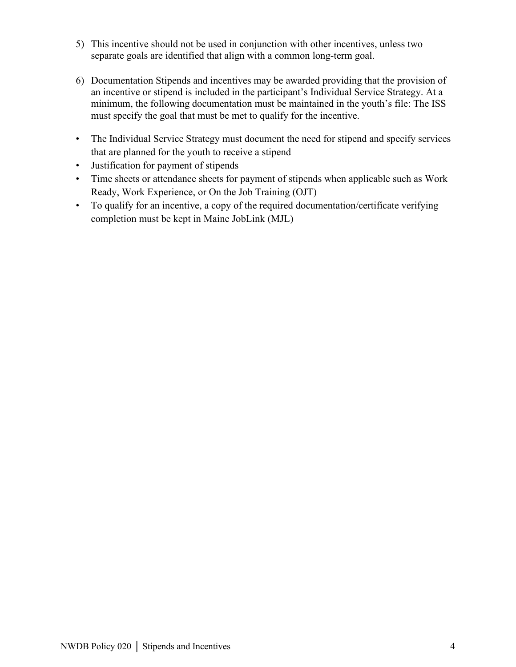- 5) This incentive should not be used in conjunction with other incentives, unless two separate goals are identified that align with a common long-term goal.
- 6) Documentation Stipends and incentives may be awarded providing that the provision of an incentive or stipend is included in the participant's Individual Service Strategy. At a minimum, the following documentation must be maintained in the youth's file: The ISS must specify the goal that must be met to qualify for the incentive.
- The Individual Service Strategy must document the need for stipend and specify services that are planned for the youth to receive a stipend
- Justification for payment of stipends
- Time sheets or attendance sheets for payment of stipends when applicable such as Work Ready, Work Experience, or On the Job Training (OJT)
- To qualify for an incentive, a copy of the required documentation/certificate verifying completion must be kept in Maine JobLink (MJL)